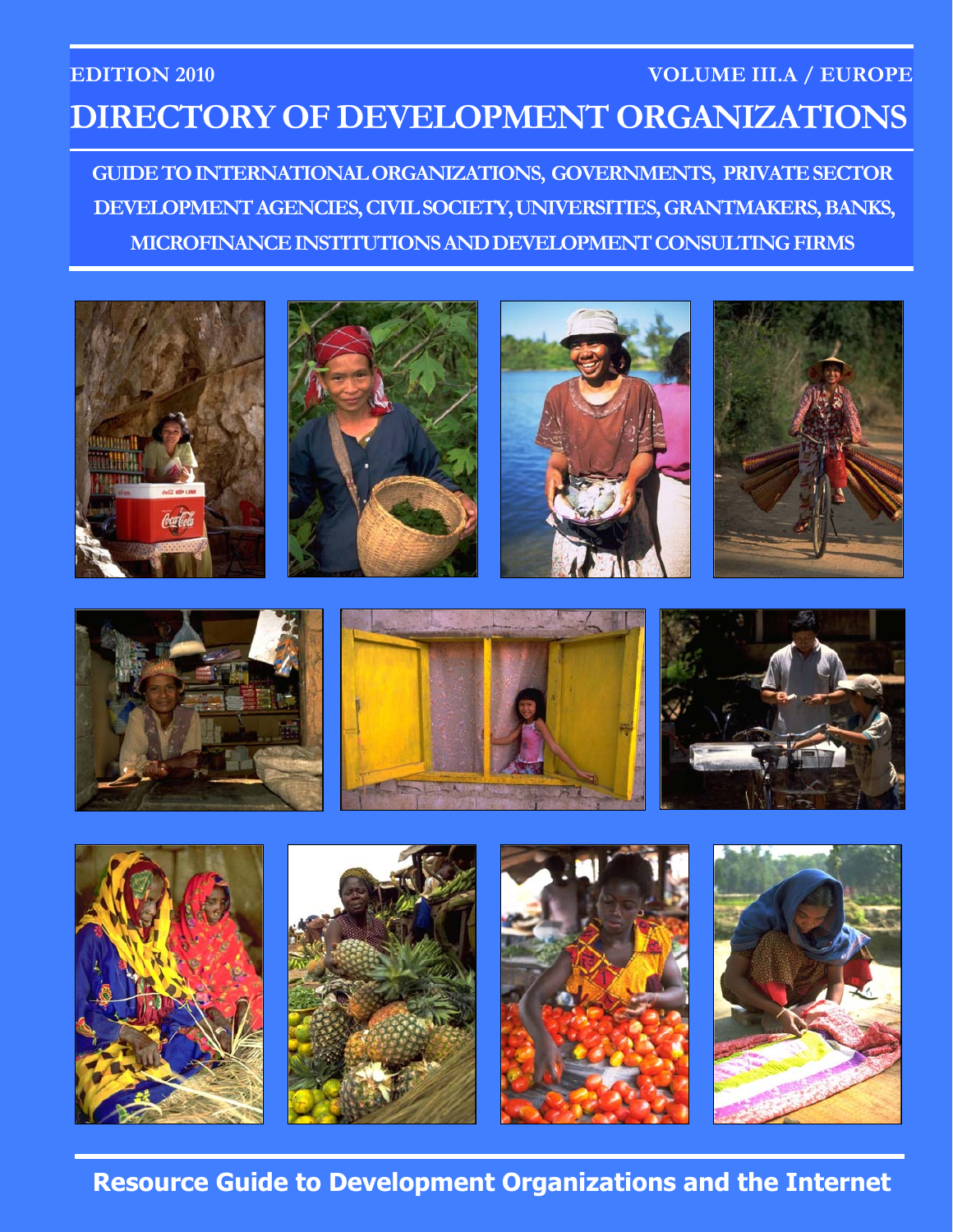## **EDITION 2010 VOLUME III.A / EUROPE DIRECTORY OF DEVELOPMENT ORGANIZATIONS**

**GUIDE TO INTERNATIONAL ORGANIZATIONS, GOVERNMENTS, PRIVATE SECTOR DEVELOPMENT AGENCIES, CIVIL SOCIETY, UNIVERSITIES, GRANTMAKERS, BANKS, MICROFINANCE INSTITUTIONS AND DEVELOPMENT CONSULTING FIRMS** 











**Resource Guide to Development Organizations and the Internet**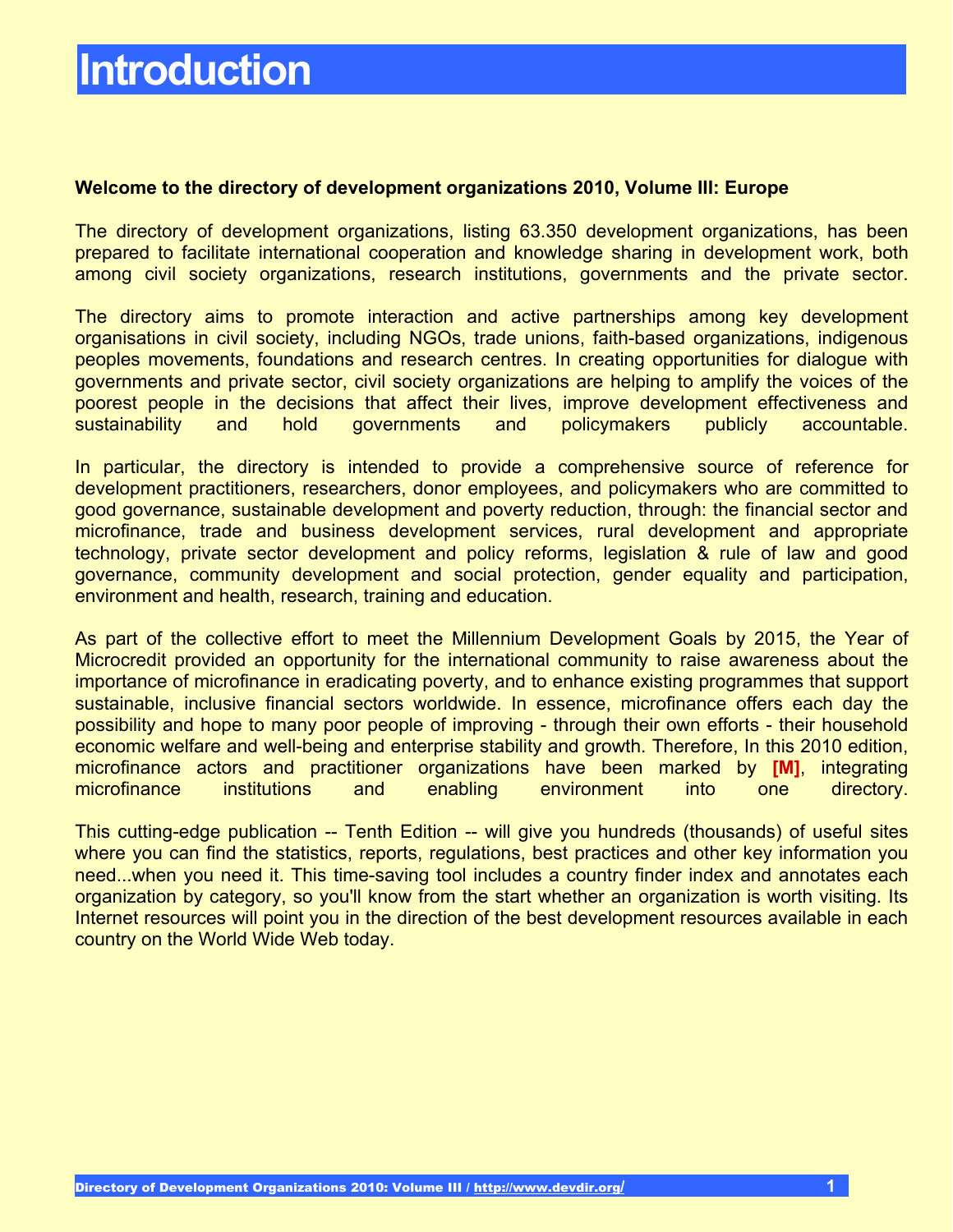### **Welcome to the directory of development organizations 2010, Volume III: Europe**

The directory of development organizations, listing 63.350 development organizations, has been prepared to facilitate international cooperation and knowledge sharing in development work, both among civil society organizations, research institutions, governments and the private sector.

The directory aims to promote interaction and active partnerships among key development organisations in civil society, including NGOs, trade unions, faith-based organizations, indigenous peoples movements, foundations and research centres. In creating opportunities for dialogue with governments and private sector, civil society organizations are helping to amplify the voices of the poorest people in the decisions that affect their lives, improve development effectiveness and sustainability and hold governments and policymakers publicly accountable.

In particular, the directory is intended to provide a comprehensive source of reference for development practitioners, researchers, donor employees, and policymakers who are committed to good governance, sustainable development and poverty reduction, through: the financial sector and microfinance, trade and business development services, rural development and appropriate technology, private sector development and policy reforms, legislation & rule of law and good governance, community development and social protection, gender equality and participation, environment and health, research, training and education.

As part of the collective effort to meet the Millennium Development Goals by 2015, the Year of Microcredit provided an opportunity for the international community to raise awareness about the importance of microfinance in eradicating poverty, and to enhance existing programmes that support sustainable, inclusive financial sectors worldwide. In essence, microfinance offers each day the possibility and hope to many poor people of improving - through their own efforts - their household economic welfare and well-being and enterprise stability and growth. Therefore, In this 2010 edition, microfinance actors and practitioner organizations have been marked by **[M]**, integrating microfinance institutions and enabling environment into one directory.

This cutting-edge publication -- Tenth Edition -- will give you hundreds (thousands) of useful sites where you can find the statistics, reports, regulations, best practices and other key information you need...when you need it. This time-saving tool includes a country finder index and annotates each organization by category, so you'll know from the start whether an organization is worth visiting. Its Internet resources will point you in the direction of the best development resources available in each country on the World Wide Web today.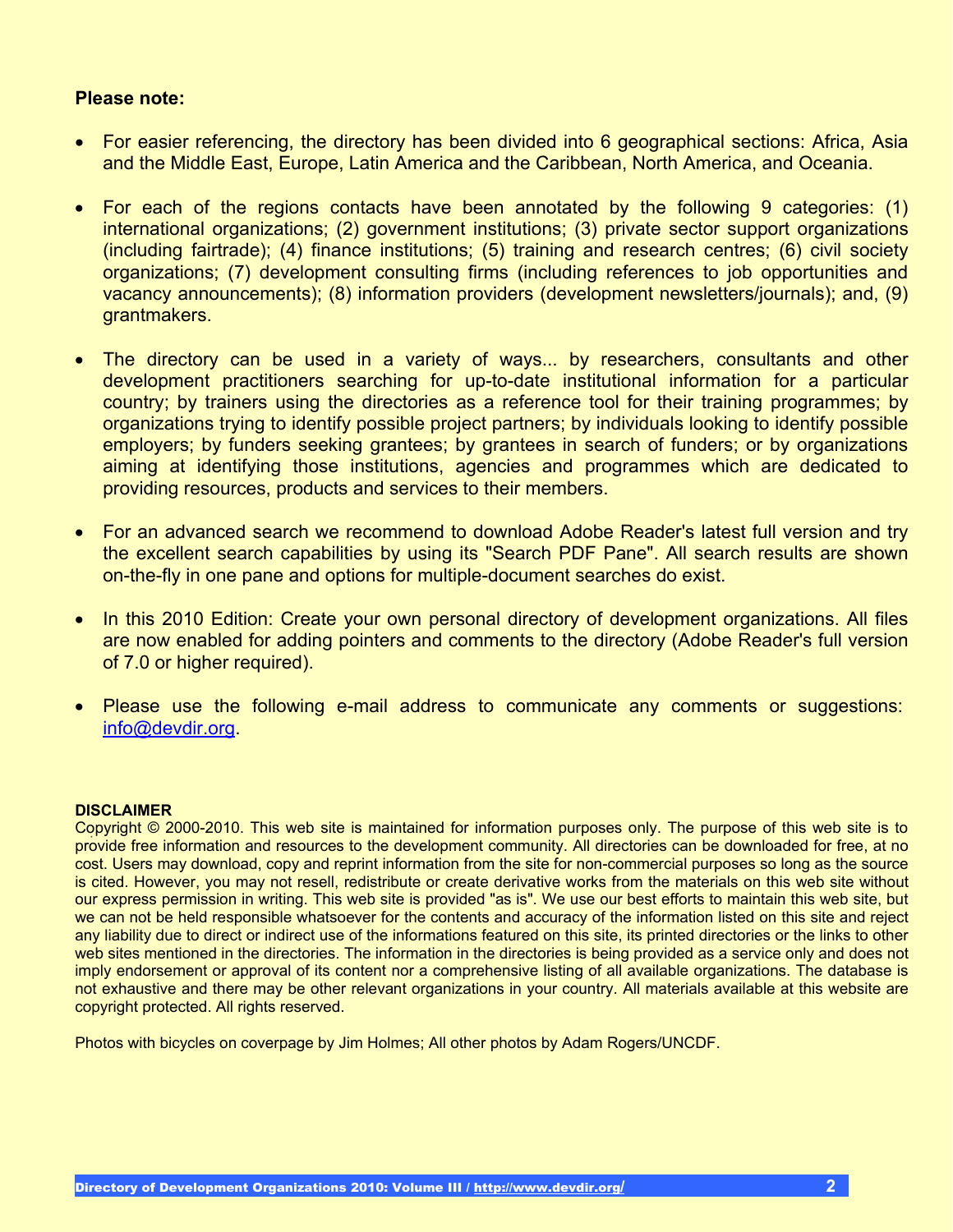### **Please note:**

- ! For easier referencing, the directory has been divided into 6 geographical sections: Africa, Asia and the Middle East, Europe, Latin America and the Caribbean, North America, and Oceania.
- ! For each of the regions contacts have been annotated by the following 9 categories: (1) international organizations; (2) government institutions; (3) private sector support organizations (including fairtrade); (4) finance institutions; (5) training and research centres; (6) civil society organizations; (7) development consulting firms (including references to job opportunities and vacancy announcements); (8) information providers (development newsletters/journals); and, (9) grantmakers.
- The directory can be used in a variety of ways... by researchers, consultants and other development practitioners searching for up-to-date institutional information for a particular country; by trainers using the directories as a reference tool for their training programmes; by organizations trying to identify possible project partners; by individuals looking to identify possible employers; by funders seeking grantees; by grantees in search of funders; or by organizations aiming at identifying those institutions, agencies and programmes which are dedicated to providing resources, products and services to their members.
- ! For an advanced search we recommend to download Adobe Reader's latest full version and try the excellent search capabilities by using its "Search PDF Pane". All search results are shown on-the-fly in one pane and options for multiple-document searches do exist.
- In this 2010 Edition: Create your own personal directory of development organizations. All files are now enabled for adding pointers and comments to the directory (Adobe Reader's full version of 7.0 or higher required).
- ! Please use the following e-mail address to communicate any comments or suggestions: info@devdir.org.

#### **DISCLAIMER**

Copyright © 2000-2010. This web site is maintained for information purposes only. The purpose of this web site is to provide free information and resources to the development community. All directories can be downloaded for free, at no cost. Users may download, copy and reprint information from the site for non-commercial purposes so long as the source is cited. However, you may not resell, redistribute or create derivative works from the materials on this web site without our express permission in writing. This web site is provided "as is". We use our best efforts to maintain this web site, but we can not be held responsible whatsoever for the contents and accuracy of the information listed on this site and reject any liability due to direct or indirect use of the informations featured on this site, its printed directories or the links to other web sites mentioned in the directories. The information in the directories is being provided as a service only and does not imply endorsement or approval of its content nor a comprehensive listing of all available organizations. The database is not exhaustive and there may be other relevant organizations in your country. All materials available at this website are copyright protected. All rights reserved.

Photos with bicycles on coverpage by Jim Holmes; All other photos by Adam Rogers/UNCDF.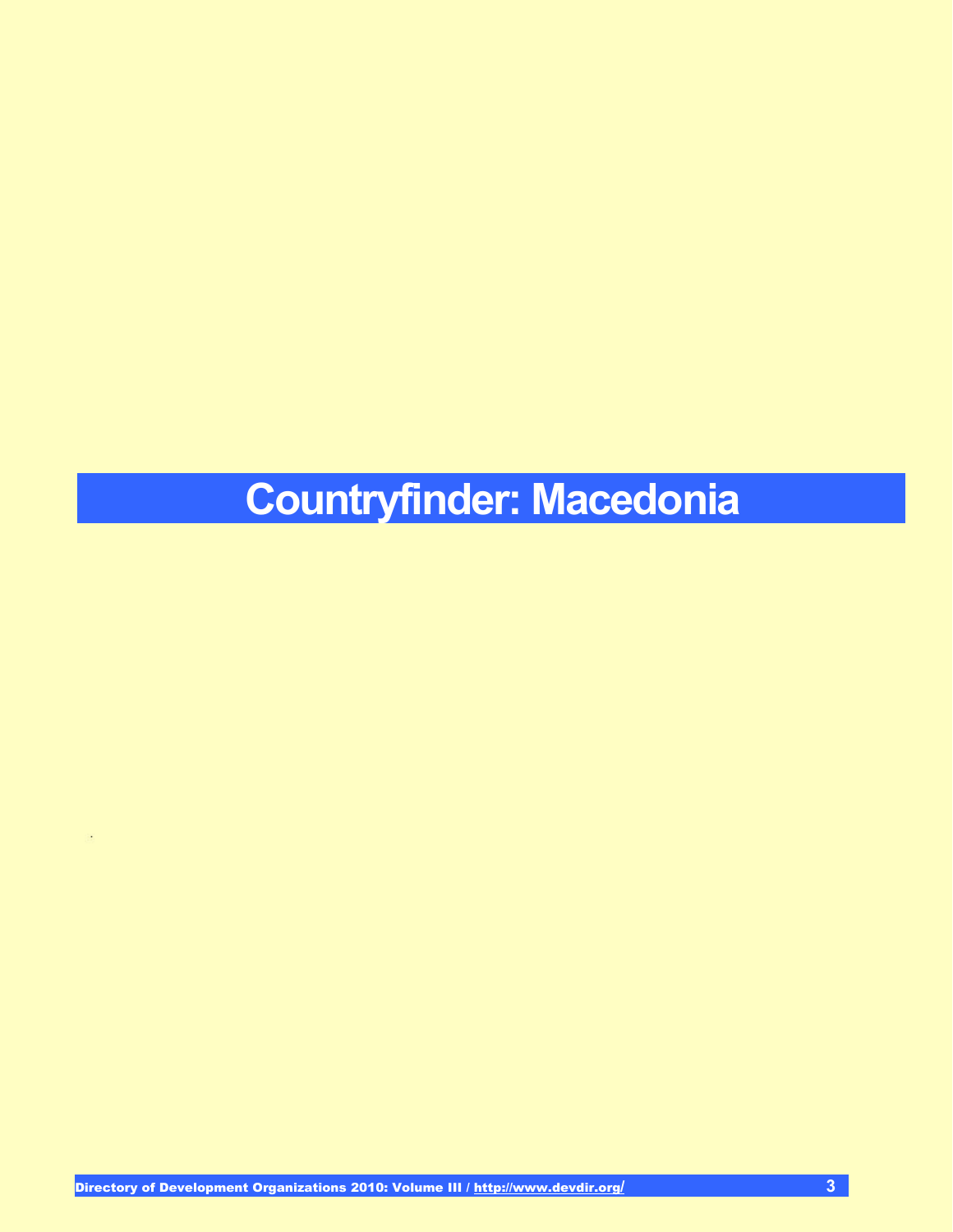# **Countryfinder: Macedonia**

÷,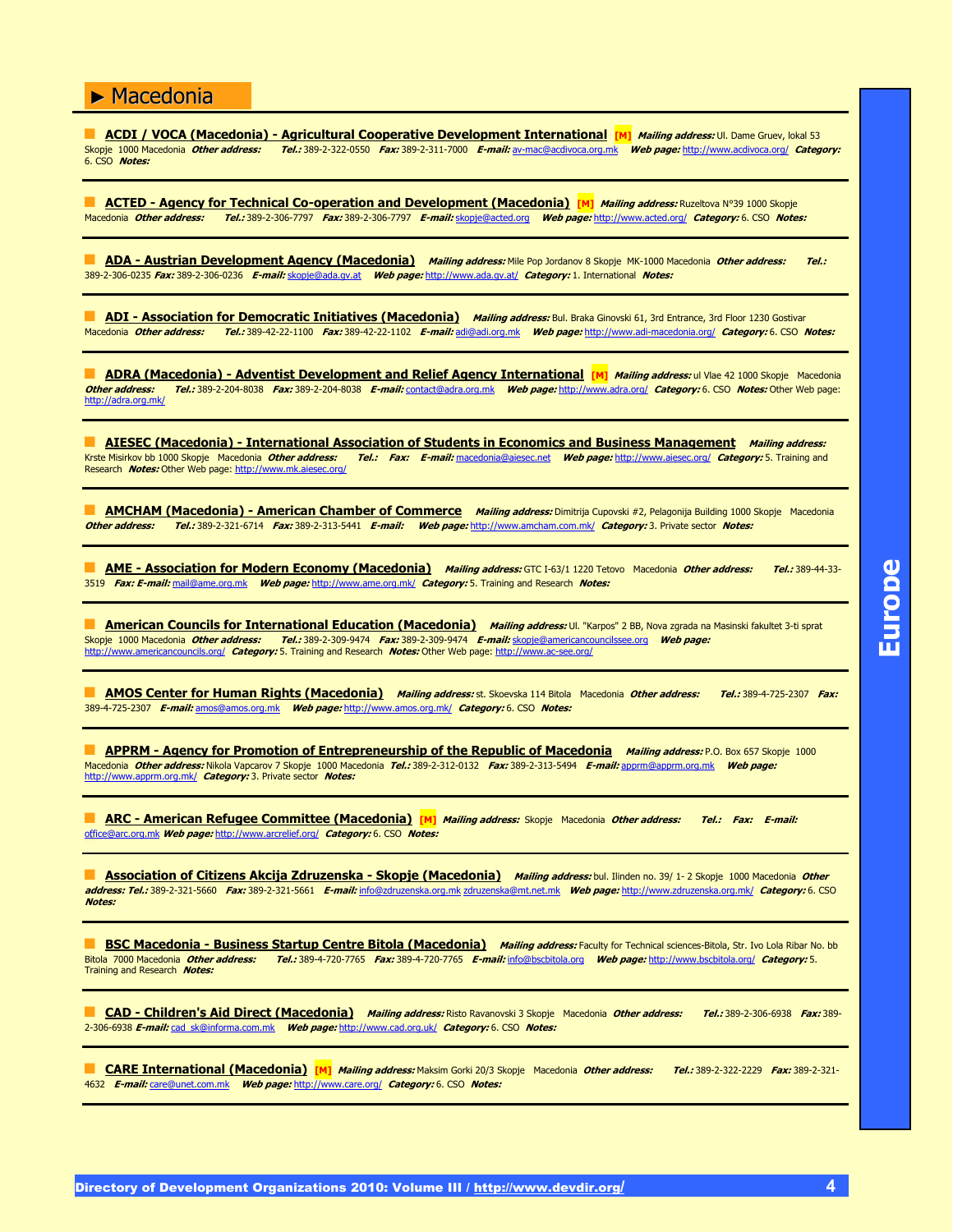**ACDI / VOCA (Macedonia) - Agricultural Cooperative Development International [M] Mailing address: Ul. Dame Gruev, lokal 53** Skopje 1000 Macedonia **Other address: Tel.:** 389-2-322-0550 **Fax:** 389-2-311-7000 **E-mail:** av-mac@acdivoca.org.mk **Web page:** http://www.acdivoca.org/ **Category:** 6. CSO **Notes:**

**ACTED - Agency for Technical Co-operation and Development (Macedonia) [M] Mailing address: Ruzeltova N°39 1000 Skopje** Macedonia **Other address: Tel.:** 389-2-306-7797 **Fax:** 389-2-306-7797 **E-mail:** skopje@acted.org **Web page:** http://www.acted.org/ **Category:** 6. CSO **Notes:**

" **ADA - Austrian Development Agency (Macedonia) Mailing address:** Mile Pop Jordanov 8 Skopje MK-1000 Macedonia **Other address: Tel.:** 389-2-306-0235 **Fax:** 389-2-306-0236 **E-mail:** skopje@ada.gv.at **Web page:** http://www.ada.gv.at/ **Category:** 1. International **Notes:**

**ADI - Association for Democratic Initiatives (Macedonia) Mailing address:** Bul. Braka Ginovski 61, 3rd Entrance, 3rd Floor 1230 Gostivar Macedonia **Other address: Tel.:** 389-42-22-1100 **Fax:** 389-42-22-1102 **E-mail:** adi@adi.org.mk **Web page:** http://www.adi-macedonia.org/ **Category:** 6. CSO **Notes:**

**ADRA (Macedonia) - Adventist Development and Relief Agency International [M]** *Mailing address:* **ul Vlae 42 1000 Skopje Macedonia Other address: Tel.:** 389-2-204-8038 **Fax:** 389-2-204-8038 **E-mail:** contact@adra.org.mk **Web page:** http://www.adra.org/ **Category:** 6. CSO **Notes:** Other Web page: Other address:<br>http://adra.org.mk/

" **AIESEC (Macedonia) - International Association of Students in Economics and Business Management Mailing address:** Krste Misirkov bb 1000 Skopje Macedonia **Other address: Tel.: Fax: E-mail:** macedonia@aiesec.net **Web page:** http://www.aiesec.org/ **Category:** 5. Training and Research **Notes:** Other Web page: http://www.mk.aiesec.org/

**AMCHAM (Macedonia) - American Chamber of Commerce** *Mailing address:* **Dimitrija Cupovski #2, Pelagonija Building 1000 Skopje Macedonia<br>***Other address: Tel.:* **389-2-321-6714** *Fax:* **389-2-313-5441** *E-mail: Web page:* **http Other address: Tel.:** 389-2-321-6714 **Fax:** 389-2-313-5441 **E-mail: Web page:** http://www.amcham.com.mk/ **Category:** 3. Private sector **Notes:**

" **AME - Association for Modern Economy (Macedonia) Mailing address:** GTC I-63/1 1220 Tetovo Macedonia **Other address: Tel.:** 389-44-33- 3519 **Fax: E-mail:** mail@ame.org.mk **Web page:** http://www.ame.org.mk/ **Category:** 5. Training and Research **Notes:**

**American Councils for International Education (Macedonia)** Mailing address: Ul. "Karpos" 2 BB, Nova zgrada na Masinski fakultet 3-ti sprat Skopje 1000 Macedonia **Other address: Tel.:** 389-2-309-9474 **Fax:** 389-2-309-9474 **E-mail:** skopje@americancouncilssee.org **Web page:** http://www.americancouncils.org/ **Category:** 5. Training and Research **Notes:** Other Web page: http://www.ac-see.org/

" **AMOS Center for Human Rights (Macedonia) Mailing address:** st. Skoevska 114 Bitola Macedonia **Other address: Tel.:** 389-4-725-2307 **Fax:** 389-4-725-2307 **E-mail:** amos@amos.org.mk **Web page:** http://www.amos.org.mk/ **Category:** 6. CSO **Notes:**

**APPRM - Agency for Promotion of Entrepreneurship of the Republic of Macedonia Mailing address: P.O. Box 657 Skopje 1000** Macedonia **Other address:** Nikola Vapcarov 7 Skopje 1000 Macedonia **Tel.:** 389-2-312-0132 **Fax:** 389-2-313-5494 **E-mail:** apprm@apprm.org.mk **Web page:** http://www.apprm.org.mk/ **Category:** 3. Private sector **Notes:**

" **ARC - American Refugee Committee (Macedonia) [M] Mailing address:** Skopje Macedonia **Other address: Tel.: Fax: E-mail:** office@arc.org.mk **Web page:** http://www.arcrelief.org/ **Category:** 6. CSO **Notes:**

**Association of Citizens Akcija Zdruzenska - Skopje (Macedonia)** *Mailing address:* bul. Ilinden no. 39/ 1- 2 Skopje 1000 Macedonia *Other* **address: Tel.:** 389-2-321-5660 **Fax:** 389-2-321-5661 **E-mail:** info@zdruzenska.org.mk zdruzenska@mt.net.mk **Web page:** http://www.zdruzenska.org.mk/ **Category:** 6. CSO **Notes:**

**BSC Macedonia - Business Startup Centre Bitola (Macedonia)** Mailing address: Faculty for Technical sciences-Bitola, Str. Ivo Lola Ribar No. bb<br>Bitola 7000 Macedonia Other address: Tel.: 389-4-720-7765 Fax: 389-4-720-7765 Bitola 7000 Macedonia **Other address: Tel.:** 389-4-720-7765 **Fax:** 389-4-720-7765 **E-mail:** info@bscbitola.org **Web page:** http://www.bscbitola.org/ **Category:** 5. Training and Research **Notes:**

" **CAD - Children's Aid Direct (Macedonia) Mailing address:** Risto Ravanovski 3 Skopje Macedonia **Other address: Tel.:** 389-2-306-6938 **Fax:** 389- 2-306-6938 **E-mail:** cad\_sk@informa.com.mk **Web page:** http://www.cad.org.uk/ **Category:** 6. CSO **Notes:**

" **CARE International (Macedonia) [M] Mailing address:** Maksim Gorki 20/3 Skopje Macedonia **Other address: Tel.:** 389-2-322-2229 **Fax:** 389-2-321- 4632 **E-mail:** care@unet.com.mk **Web page:** http://www.care.org/ **Category:** 6. CSO **Notes:**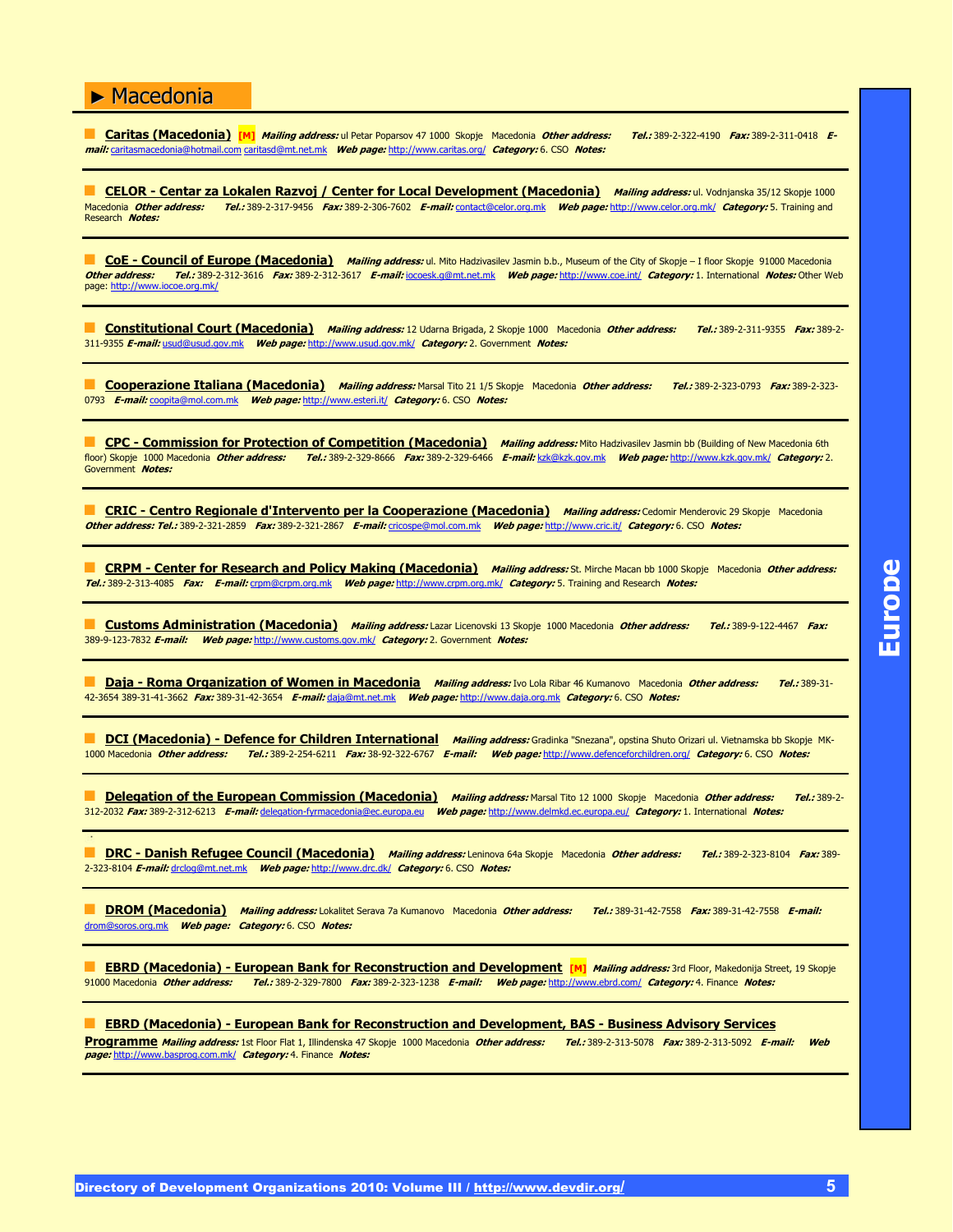**Caritas (Macedonia)** [M] *Mailing address:* ul Petar Poparsov 47 1000 Skopje Macedonia Other address: Tel.: 389-2-322-4190 Fax: 389-2-311-0418 E**mail:** caritasmacedonia@hotmail.com caritasd@mt.net.mk **Web page:** http://www.caritas.org/ **Category:** 6. CSO **Notes:**

**CELOR - Centar za Lokalen Razvoj / Center for Local Development (Macedonia)** *Mailing address:* **ul. Vodnjanska 35/12 Skopje 1000<br>Macedonia** *Other address: Tel.:* **389-2-317-9456 Fax: 389-2-306-7602 F-mail: contact@celor.org** Macedonia **Other address: Tel.:** 389-2-317-9456 **Fax:** 389-2-306-7602 **E-mail:** contact@celor.org.mk **Web page:** http://www.celor.org.mk/ **Category:** 5. Training and Research **Notes:**

**CoE - Council of Europe (Macedonia)** Mailing address: ul. Mito Hadzivasilev Jasmin b.b., Museum of the City of Skopje – I floor Skopje 91000 Macedonia **Other address: Tel.:** 389-2-312-3616 **Fax:** 389-2-312-3617 **E-mail:** iocoesk.g@mt.net.mk **Web page:** http://www.coe.int/ **Category:** 1. International **Notes:** Other Web page: http://www.iocoe.org.mk/

" **Constitutional Court (Macedonia) Mailing address:** 12 Udarna Brigada, 2 Skopje 1000 Macedonia **Other address: Tel.:** 389-2-311-9355 **Fax:** 389-2- 311-9355 **E-mail:** usud@usud.gov.mk **Web page:** http://www.usud.gov.mk/ **Category:** 2. Government **Notes:**

" **Cooperazione Italiana (Macedonia) Mailing address:** Marsal Tito 21 1/5 Skopje Macedonia **Other address: Tel.:** 389-2-323-0793 **Fax:** 389-2-323- 0793 **E-mail:** coopita@mol.com.mk **Web page:** http://www.esteri.it/ **Category:** 6. CSO **Notes:**

CPC - Commission for Protection of Competition (Macedonia) Mailing address: Mito Hadzivasilev Jasmin bb (Building of New Macedonia 6th floor) Skopje 1000 Macedonia **Other address: Tel.:** 389-2-329-8666 **Fax:** 389-2-329-6466 **E-mail:** kzk@kzk.gov.mk **Web page:** http://www.kzk.gov.mk/ **Category:** 2. Government **Notes:**

" **CRIC - Centro Regionale d'Intervento per la Cooperazione (Macedonia) Mailing address:** Cedomir Menderovic 29 Skopje Macedonia **Other address: Tel.:** 389-2-321-2859 **Fax:** 389-2-321-2867 **E-mail:** cricospe@mol.com.mk **Web page:** http://www.cric.it/ **Category:** 6. CSO **Notes:**

" **CRPM - Center for Research and Policy Making (Macedonia) Mailing address:** St. Mirche Macan bb 1000 Skopje Macedonia **Other address: Tel.:** 389-2-313-4085 **Fax: E-mail:** crpm@crpm.org.mk **Web page:** http://www.crpm.org.mk/ **Category:** 5. Training and Research **Notes:**

" **Customs Administration (Macedonia) Mailing address:** Lazar Licenovski 13 Skopje 1000 Macedonia **Other address: Tel.:** 389-9-122-4467 **Fax:** 389-9-123-7832 **E-mail: Web page:** http://www.customs.gov.mk/ **Category:** 2. Government **Notes:**

**Daja - Roma Organization of Women in Macedonia** *Mailing address:* Ivo Lola Ribar 46 Kumanovo Macedonia Other address: **Tel.:** 389-31-42-3654 389-31-41-3662 **Fax:** 389-31-42-3654 **E-mail:** daja@mt.net.mk **Web page:** http://www.daja.org.mk **Category:** 6. CSO **Notes:**

**DCI (Macedonia) - Defence for Children International Mailing address: Gradinka "Snezana", opstina Shuto Orizari ul. Vietnamska bb Skopje MK-**1000 Macedonia **Other address: Tel.:** 389-2-254-6211 **Fax:** 38-92-322-6767 **E-mail: Web page:** http://www.defenceforchildren.org/ **Category:** 6. CSO **Notes:**

" **Delegation of the European Commission (Macedonia) Mailing address:** Marsal Tito 12 1000 Skopje Macedonia **Other address: Tel.:** 389-2- 312-2032 **Fax:** 389-2-312-6213 **E-mail:** delegation-fyrmacedonia@ec.europa.eu **Web page:** http://www.delmkd.ec.europa.eu/ **Category:** 1. International **Notes:**

" **DRC - Danish Refugee Council (Macedonia) Mailing address:** Leninova 64a Skopje Macedonia **Other address: Tel.:** 389-2-323-8104 **Fax:** 389- 2-323-8104 **E-mail:** drclog@mt.net.mk **Web page:** http://www.drc.dk/ **Category:** 6. CSO **Notes:**

" **DROM (Macedonia) Mailing address:** Lokalitet Serava 7a Kumanovo Macedonia **Other address: Tel.:** 389-31-42-7558 **Fax:** 389-31-42-7558 **E-mail:** drom@soros.org.mk **Web page: Category:** 6. CSO **Notes:**

**EBRD (Macedonia) - European Bank for Reconstruction and Development [M]** Mailing address: 3rd Floor, Makedonija Street, 19 Skopje 91000 Macedonia **Other address: Tel.:** 389-2-329-7800 **Fax:** 389-2-323-1238 **E-mail: Web page:** http://www.ebrd.com/ **Category:** 4. Finance **Notes:**

**EBRD (Macedonia) - European Bank for Reconstruction and Development, BAS - Business Advisory Services Programme Mailing address:** 1st Floor Flat 1, Illindenska 47 Skopje 1000 Macedonia **Other address: Tel.:** 389-2-313-5078 **Fax:** 389-2-313-5092 **E-mail: Web page:** http://www.basprog.com.mk/ **Category:** 4. Finance **Notes:**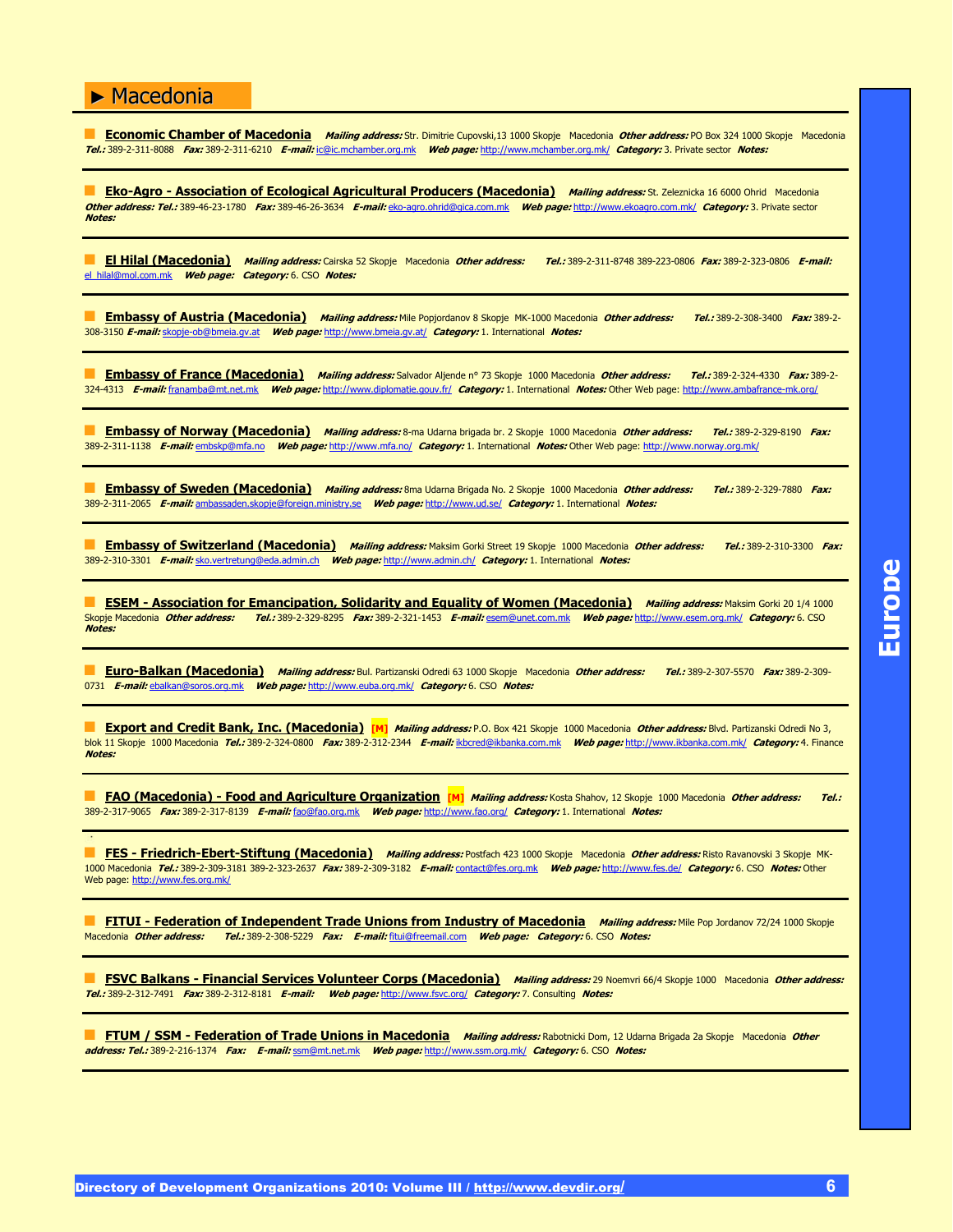**Economic Chamber of Macedonia** Mailing address: Str. Dimitrie Cupovski,13 1000 Skopje Macedonia Other address: PO Box 324 1000 Skopje Macedonia **Tel.:** 389-2-311-8088 **Fax:** 389-2-311-6210 **E-mail:** ic@ic.mchamber.org.mk **Web page:** http://www.mchamber.org.mk/ **Category:** 3. Private sector **Notes:**

**Eko-Agro - Association of Ecological Agricultural Producers (Macedonia) Mailing address: St. Zeleznicka 16 6000 Ohrid Macedonia Other address: Tel.:** 389-46-23-1780 **Fax:** 389-46-26-3634 **E-mail:** eko-agro.ohrid@gica.com.mk **Web page:** http://www.ekoagro.com.mk/ **Category:** 3. Private sector **Notes:**

" **El Hilal (Macedonia) Mailing address:** Cairska 52 Skopje Macedonia **Other address: Tel.:** 389-2-311-8748 389-223-0806 **Fax:** 389-2-323-0806 **E-mail:** el\_hilal@mol.com.mk **Web page: Category:** 6. CSO **Notes:**

" **Embassy of Austria (Macedonia) Mailing address:** Mile Popjordanov 8 Skopje MK-1000 Macedonia **Other address: Tel.:** 389-2-308-3400 **Fax:** 389-2- 308-3150 **E-mail:** skopje-ob@bmeia.gv.at **Web page:** http://www.bmeia.gv.at/ **Category:** 1. International **Notes:**

**Embassy of France (Macedonia)** Mailing address: Salvador Aljende nº 73 Skopje 1000 Macedonia Other address: Tel.: 389-2-324-4330 Fax: 389-2-324-4313 **E-mail:** franamba@mt.net.mk **Web page:** http://www.diplomatie.gouv.fr/ **Category:** 1. International **Notes:** Other Web page: http://www.ambafrance-mk.org/

" **Embassy of Norway (Macedonia) Mailing address:** 8-ma Udarna brigada br. 2 Skopje 1000 Macedonia **Other address: Tel.:** 389-2-329-8190 **Fax:** 389-2-311-1138 **E-mail:** embskp@mfa.no **Web page:** http://www.mfa.no/ **Category:** 1. International **Notes:** Other Web page: http://www.norway.org.mk/

" **Embassy of Sweden (Macedonia) Mailing address:** 8ma Udarna Brigada No. 2 Skopje 1000 Macedonia **Other address: Tel.:** 389-2-329-7880 **Fax:** 389-2-311-2065 **E-mail:** ambassaden.skopje@foreign.ministry.se **Web page:** http://www.ud.se/ **Category:** 1. International **Notes:**

**Embassy of Switzerland (Macedonia)** Mailing address: Maksim Gorki Street 19 Skopje 1000 Macedonia Other address: Tel.: 389-2-310-3300 Fax: 389-2-310-3301 **E-mail:** sko.vertretung@eda.admin.ch **Web page:** http://www.admin.ch/ **Category:** 1. International **Notes:**

**ESEM - Association for Emancipation, Solidarity and Equality of Women (Macedonia)** *Mailing address:* **Maksim Gorki 20 1/4 1000<br>Skopie Macedonia** *Other address: Tel.:* **389-2-329-8295** *Fax:* **389-2-321-1453** *E-mail:* **esem@une** Skopje Macedonia **Other address: Tel.:** 389-2-329-8295 **Fax:** 389-2-321-1453 **E-mail:** esem@unet.com.mk **Web page:** http://www.esem.org.mk/ **Category:** 6. CSO **Notes:**

" **Euro-Balkan (Macedonia) Mailing address:** Bul. Partizanski Odredi 63 1000 Skopje Macedonia **Other address: Tel.:** 389-2-307-5570 **Fax:** 389-2-309- 0731 **E-mail:** ebalkan@soros.org.mk **Web page:** http://www.euba.org.mk/ **Category:** 6. CSO **Notes:**

**Export and Credit Bank, Inc. (Macedonia) [M]** Mailing address: P.O. Box 421 Skopje 1000 Macedonia Other address: Blvd. Partizanski Odredi No 3, blok 11 Skopje 1000 Macedonia **Tel.:** 389-2-324-0800 **Fax:** 389-2-312-2344 **E-mail:** ikbcred@ikbanka.com.mk **Web page:** http://www.ikbanka.com.mk/ **Category:** 4. Finance **Notes:**

" **FAO (Macedonia) - Food and Agriculture Organization [M] Mailing address:** Kosta Shahov, 12 Skopje 1000 Macedonia **Other address: Tel.:** 389-2-317-9065 **Fax:** 389-2-317-8139 **E-mail:** fao@fao.org.mk **Web page:** http://www.fao.org/ **Category:** 1. International **Notes:**

" **FES - Friedrich-Ebert-Stiftung (Macedonia) Mailing address:** Postfach 423 1000 Skopje Macedonia **Other address:** Risto Ravanovski 3 Skopje MK-1000 Macedonia **Tel.:** 389-2-309-3181 389-2-323-2637 **Fax:** 389-2-309-3182 **E-mail:** contact@fes.org.mk **Web page:** http://www.fes.de/ **Category:** 6. CSO **Notes:** Other Web page: http://www.fes.org.mk/

**FITUI - Federation of Independent Trade Unions from Industry of Macedonia** *Mailing address:* **Mile Pop Jordanov 72/24 1000 Skopje<br>Macedonia** *Other address: Tel.:* **389-2-308-5229** *Fax: E-mail:* **filui@freemail.com** *Web page:* Macedonia **Other address: Tel.:** 389-2-308-5229 **Fax: E-mail:** fitui@freemail.com **Web page: Category:** 6. CSO **Notes:**

" **FSVC Balkans - Financial Services Volunteer Corps (Macedonia) Mailing address:** 29 Noemvri 66/4 Skopje 1000 Macedonia **Other address: Tel.:** 389-2-312-7491 **Fax:** 389-2-312-8181 **E-mail: Web page:** http://www.fsvc.org/ **Category:** 7. Consulting **Notes:**

**FTUM / SSM - Federation of Trade Unions in Macedonia** *Mailing address:* Rabotnicki Dom, 12 Udarna Brigada 2a Skopje Macedonia Other **address: Tel.:** 389-2-216-1374 **Fax: E-mail:** ssm@mt.net.mk **Web page:** http://www.ssm.org.mk/ **Category:** 6. CSO **Notes:**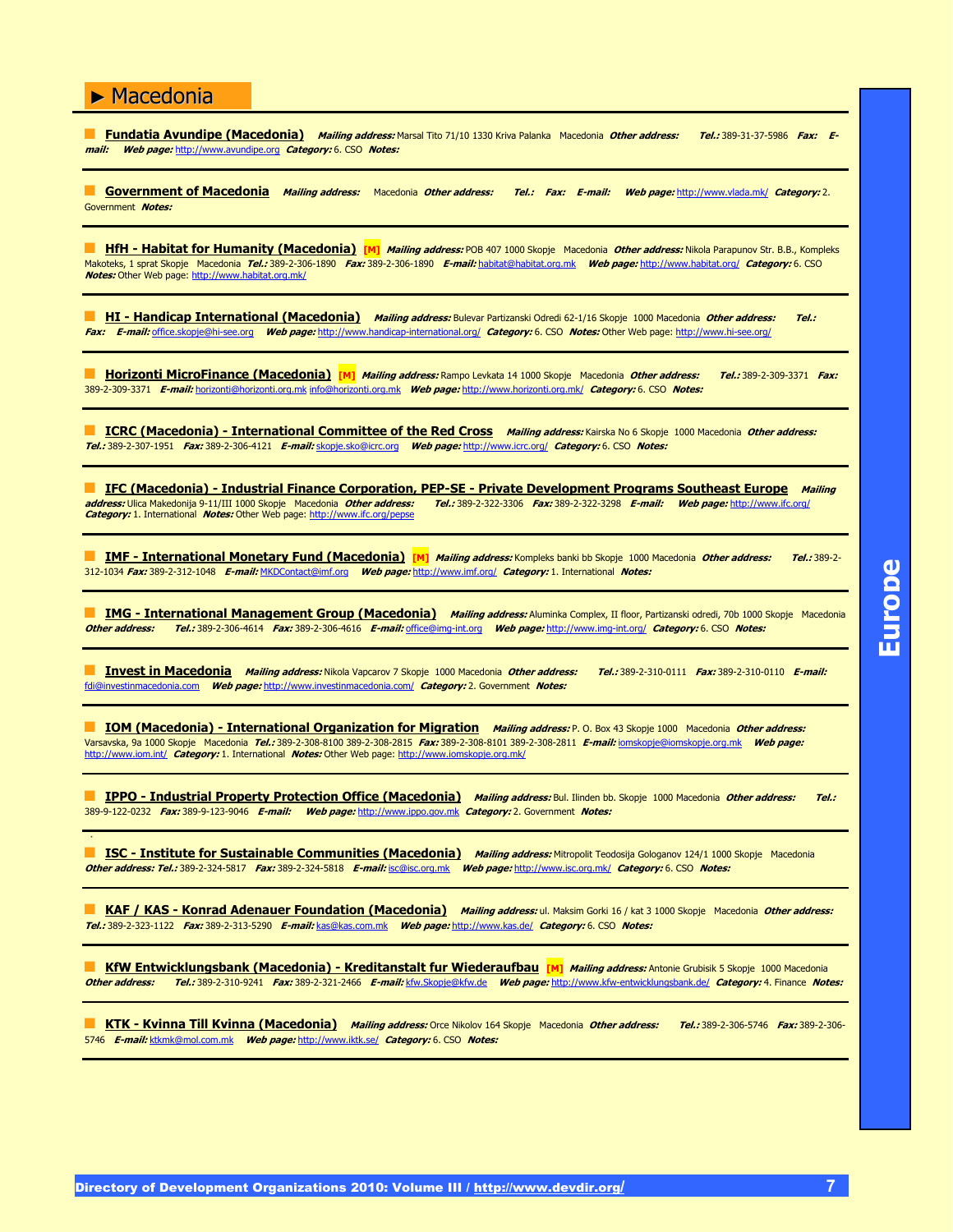**Fundatia Avundipe (Macedonia)** Mailing address: Marsal Tito 71/10 1330 Kriva Palanka Macedonia Other address: Tel.: 389-31-37-5986 Fax: E**mail: Web page:** http://www.avundipe.org **Category:** 6. CSO **Notes:**

" **Government of Macedonia Mailing address:** Macedonia **Other address: Tel.: Fax: E-mail: Web page:** http://www.vlada.mk/ **Category:** 2. Government **Notes:**

**HfH - Habitat for Humanity (Macedonia)** [M] Mailing address: POB 407 1000 Skopje Macedonia Other address: Nikola Parapunov Str. B.B., Kompleks Makoteks, 1 sprat Skopje Macedonia **Tel.:** 389-2-306-1890 **Fax:** 389-2-306-1890 **E-mail:** habitat@habitat.org.mk **Web page:** http://www.habitat.org/ **Category:** 6. CSO **Notes:** Other Web page: http://www.habitat.org.mk/

**HI - Handicap International (Macedonia)** Mailing address: Bulevar Partizanski Odredi 62-1/16 Skopje 1000 Macedonia Other address: Tel.: **Fax: E-mail:** office.skopje@hi-see.org **Web page:** http://www.handicap-international.org/ **Category:** 6. CSO **Notes:** Other Web page: http://www.hi-see.org/

" **Horizonti MicroFinance (Macedonia) [M] Mailing address:** Rampo Levkata 14 1000 Skopje Macedonia **Other address: Tel.:** 389-2-309-3371 **Fax:** 389-2-309-3371 **E-mail:** horizonti@horizonti.org.mk info@horizonti.org.mk **Web page:** http://www.horizonti.org.mk/ **Category:** 6. CSO **Notes:**

**ICRC (Macedonia) - International Committee of the Red Cross** *Mailing address:* **Kairska No 6 Skopje 1000 Macedonia Other address: Tel.:** 389-2-307-1951 **Fax:** 389-2-306-4121 **E-mail:** skopje.sko@icrc.org **Web page:** http://www.icrc.org/ **Category:** 6. CSO **Notes:**

**IFC (Macedonia) - Industrial Finance Corporation, PEP-SE - Private Development Programs Southeast Europe Mailing<br>address: Ulica Makedonija 9-11/III 1000 Skopje Macedonia** *Other address: Tel.:* **389-2-322-3206** *Fax:* **389-2address:** Ulica Makedonija 9-11/III 1000 Skopje Macedonia **Other address: Tel.:** 389-2-322-3306 **Fax:** 389-2-322-3298 **E-mail: Web page:** http://www.ifc.org/ **Category:** 1. International **Notes:** Other Web page: http://www.ifc.org/pepse

**IMF - International Monetary Fund (Macedonia)** [M] Mailing address: Kompleks banki bb Skopje 1000 Macedonia Other address: Tel.: 389-2-312-1034 **Fax:** 389-2-312-1048 **E-mail:** MKDContact@imf.org **Web page:** http://www.imf.org/ **Category:** 1. International **Notes:**

**IMG - International Management Group (Macedonia)** Mailing address: Aluminka Complex, II floor, Partizanski odredi, 70b 1000 Skopje Macedonia **Other address: Tel.:** 389-2-306-4614 **Fax:** 389-2-306-4616 **E-mail:** office@img-int.org **Web page:** http://www.img-int.org/ **Category:** 6. CSO **Notes:**

" **Invest in Macedonia Mailing address:** Nikola Vapcarov 7 Skopje 1000 Macedonia **Other address: Tel.:** 389-2-310-0111 **Fax:** 389-2-310-0110 **E-mail:** fdi@investinmacedonia.com **Web page:** http://www.investinmacedonia.com/ **Category:** 2. Government **Notes:**

**IOM (Macedonia) - International Organization for Migration** *Mailing address:* **P. O. Box 43 Skopje 1000 Macedonia Other address:** Varsavska, 9a 1000 Skopje Macedonia **Tel.:** 389-2-308-8100 389-2-308-2815 **Fax:** 389-2-308-8101 389-2-308-2811 **E-mail:** iomskopje@iomskopje.org.mk **Web page:** http://www.iom.int/ **Category:** 1. International **Notes:** Other Web page: http://www.iomskopje.org.mk/

" **IPPO - Industrial Property Protection Office (Macedonia) Mailing address:** Bul. Ilinden bb. Skopje 1000 Macedonia **Other address: Tel.:** 389-9-122-0232 **Fax:** 389-9-123-9046 **E-mail: Web page:** http://www.ippo.gov.mk **Category:** 2. Government **Notes:**

" **ISC - Institute for Sustainable Communities (Macedonia) Mailing address:** Mitropolit Teodosija Gologanov 124/1 1000 Skopje Macedonia **Other address: Tel.:** 389-2-324-5817 **Fax:** 389-2-324-5818 **E-mail:** isc@isc.org.mk **Web page:** http://www.isc.org.mk/ **Category:** 6. CSO **Notes:**

**KAF / KAS - Konrad Adenauer Foundation (Macedonia)** *Mailing address:* **ul. Maksim Gorki 16 / kat 3 1000 Skopje Macedonia Other address: Tel.:** 389-2-323-1122 **Fax:** 389-2-313-5290 **E-mail:** kas@kas.com.mk **Web page:** http://www.kas.de/ **Category:** 6. CSO **Notes:**

" **KfW Entwicklungsbank (Macedonia) - Kreditanstalt fur Wiederaufbau [M] Mailing address:** Antonie Grubisik 5 Skopje 1000 Macedonia **Other address: Tel.:** 389-2-310-9241 **Fax:** 389-2-321-2466 **E-mail:** kfw.Skopje@kfw.de **Web page:** http://www.kfw-entwicklungsbank.de/ **Category:** 4. Finance **Notes:**

" **KTK - Kvinna Till Kvinna (Macedonia) Mailing address:** Orce Nikolov 164 Skopje Macedonia **Other address: Tel.:** 389-2-306-5746 **Fax:** 389-2-306- 5746 **E-mail:** ktkmk@mol.com.mk **Web page:** http://www.iktk.se/ **Category:** 6. CSO **Notes:**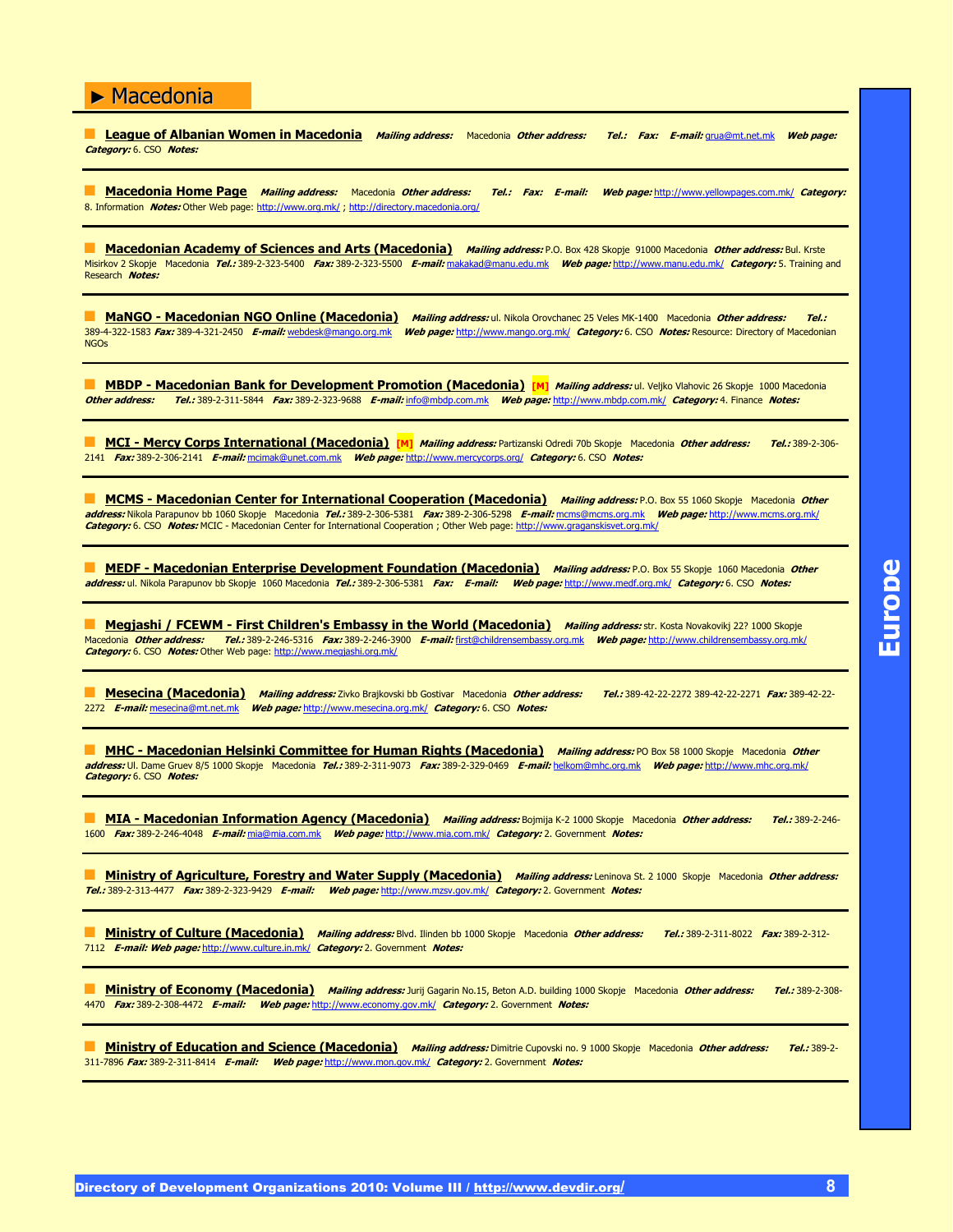" **League of Albanian Women in Macedonia Mailing address:** Macedonia **Other address: Tel.: Fax: E-mail:** grua@mt.net.mk **Web page: Category:** 6. CSO **Notes:**

" **Macedonia Home Page Mailing address:** Macedonia **Other address: Tel.: Fax: E-mail: Web page:** http://www.yellowpages.com.mk/ **Category:** 8. Information **Notes:** Other Web page: http://www.org.mk/ ; http://directory.macedonia.org/

" **Macedonian Academy of Sciences and Arts (Macedonia) Mailing address:** P.O. Box 428 Skopje 91000 Macedonia **Other address:** Bul. Krste Misirkov 2 Skopje Macedonia **Tel.:** 389-2-323-5400 **Fax:** 389-2-323-5500 **E-mail:** makakad@manu.edu.mk **Web page:** http://www.manu.edu.mk/ **Category:** 5. Training and Research **Notes:**

**MaNGO - Macedonian NGO Online (Macedonia)** *Mailing address:* ul. Nikola Orovchanec 25 Veles MK-1400 Macedonia *Other address:* Tel.: 389-4-322-1583 **Fax:** 389-4-321-2450 **E-mail:** webdesk@mango.org.mk **Web page:** http://www.mango.org.mk/ **Category:** 6. CSO **Notes:** Resource: Directory of Macedonian **NGOs** 

**MBDP - Macedonian Bank for Development Promotion (Macedonia) [M]** *Mailing address:* ul. Veljko Vlahovic 26 Skopje 1000 Macedonia **Other address: Tel.:** 389-2-311-5844 **Fax:** 389-2-323-9688 **E-mail:** info@mbdp.com.mk **Web page:** http://www.mbdp.com.mk/ **Category:** 4. Finance **Notes:**

" **MCI - Mercy Corps International (Macedonia) [M] Mailing address:** Partizanski Odredi 70b Skopje Macedonia **Other address: Tel.:** 389-2-306- 2141 **Fax:** 389-2-306-2141 **E-mail:** mcimak@unet.com.mk **Web page:** http://www.mercycorps.org/ **Category:** 6. CSO **Notes:**

" **MCMS - Macedonian Center for International Cooperation (Macedonia) Mailing address:** P.O. Box 55 1060 Skopje Macedonia **Other address:** Nikola Parapunov bb 1060 Skopje Macedonia **Tel.:** 389-2-306-5381 **Fax:** 389-2-306-5298 **E-mail:** mcms@mcms.org.mk **Web page:** http://www.mcms.org.mk/ **Category:** 6. CSO **Notes:** MCIC - Macedonian Center for International Cooperation ; Other Web page: http://www.graganskisvet.org.mk/

" **MEDF - Macedonian Enterprise Development Foundation (Macedonia) Mailing address:** P.O. Box 55 Skopje 1060 Macedonia **Other address:** ul. Nikola Parapunov bb Skopje 1060 Macedonia **Tel.:** 389-2-306-5381 **Fax: E-mail: Web page:** http://www.medf.org.mk/ **Category:** 6. CSO **Notes:**

**Megjashi / FCEWM - First Children's Embassy in the World (Macedonia) Mailing address: str. Kosta Novakovikj 22? 1000 Skopje** Macedonia **Other address: Tel.:** 389-2-246-5316 **Fax:** 389-2-246-3900 **E-mail:** first@childrensembassy.org.mk **Web page:** http://www.childrensembassy.org.mk/ Macedonia **Other address: Tel.:** 389-2-246-5316 Fax: 389-2-246-39<br>Category: 6. CSO Notes: Other Web page: http://www.megjashi.org.mk/

" **Mesecina (Macedonia) Mailing address:** Zivko Brajkovski bb Gostivar Macedonia **Other address: Tel.:** 389-42-22-2272 389-42-22-2271 **Fax:** 389-42-22- 2272 **E-mail:** mesecina@mt.net.mk **Web page:** http://www.mesecina.org.mk/ **Category:** 6. CSO **Notes:**

" **MHC - Macedonian Helsinki Committee for Human Rights (Macedonia) Mailing address:** PO Box 58 1000 Skopje Macedonia **Other address:** Ul. Dame Gruev 8/5 1000 Skopje Macedonia **Tel.:** 389-2-311-9073 **Fax:** 389-2-329-0469 **E-mail:** helkom@mhc.org.mk **Web page:** http://www.mhc.org.mk/ **Category:** 6. CSO **Notes:**

**MIA - Macedonian Information Agency (Macedonia)** *Mailing address:* Bojmija K-2 1000 Skopje Macedonia Other address: Tel.: 389-2-246-1600 **Fax:** 389-2-246-4048 **E-mail:** mia@mia.com.mk **Web page:** http://www.mia.com.mk/ **Category:** 2. Government **Notes:**

**Ministry of Agriculture, Forestry and Water Supply (Macedonia)** Mailing address: Leninova St. 2 1000 Skopje Macedonia Other address: **Tel.:** 389-2-313-4477 **Fax:** 389-2-323-9429 **E-mail: Web page:** http://www.mzsv.gov.mk/ **Category:** 2. Government **Notes:**

**Ministry of Culture (Macedonia)** Mailing address: Blvd. Ilinden bb 1000 Skopje Macedonia Other address: Tel.: 389-2-311-8022 Fax: 389-2-312-7112 **E-mail: Web page:** http://www.culture.in.mk/ **Category:** 2. Government **Notes:**

**Ministry of Economy (Macedonia)** *Mailing address:* **Jurij Gagarin No.15, Beton A.D. building 1000 Skopje Macedonia Other address: Tel.: 389-2-308-**4470 **Fax:** 389-2-308-4472 **E-mail: Web page:** http://www.economy.gov.mk/ **Category:** 2. Government **Notes:**

" **Ministry of Education and Science (Macedonia) Mailing address:** Dimitrie Cupovski no. 9 1000 Skopje Macedonia **Other address: Tel.:** 389-2- 311-7896 **Fax:** 389-2-311-8414 **E-mail: Web page:** http://www.mon.gov.mk/ **Category:** 2. Government **Notes:**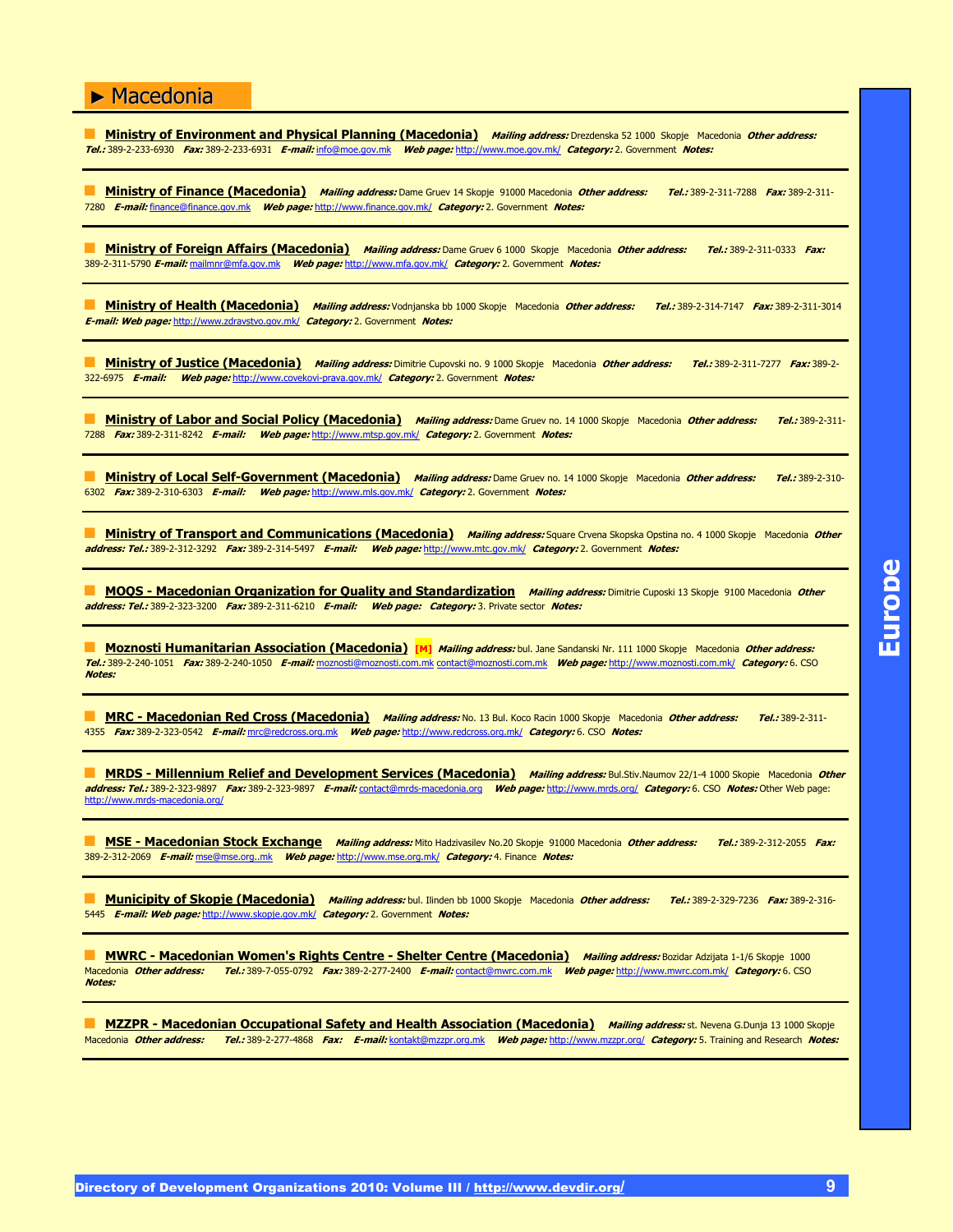" **Ministry of Environment and Physical Planning (Macedonia) Mailing address:** Drezdenska 52 1000 Skopje Macedonia **Other address: Tel.:** 389-2-233-6930 **Fax:** 389-2-233-6931 **E-mail:** info@moe.gov.mk **Web page:** http://www.moe.gov.mk/ **Category:** 2. Government **Notes:**

" **Ministry of Finance (Macedonia) Mailing address:** Dame Gruev 14 Skopje 91000 Macedonia **Other address: Tel.:** 389-2-311-7288 **Fax:** 389-2-311- 7280 **E-mail:** finance@finance.gov.mk **Web page:** http://www.finance.gov.mk/ **Category:** 2. Government **Notes:**

" **Ministry of Foreign Affairs (Macedonia) Mailing address:** Dame Gruev 6 1000 Skopje Macedonia **Other address: Tel.:** 389-2-311-0333 **Fax:** 389-2-311-5790 **E-mail:** mailmnr@mfa.gov.mk **Web page:** http://www.mfa.gov.mk/ **Category:** 2. Government **Notes:**

" **Ministry of Health (Macedonia) Mailing address:** Vodnjanska bb 1000 Skopje Macedonia **Other address: Tel.:** 389-2-314-7147 **Fax:** 389-2-311-3014 **E-mail: Web page:** http://www.zdravstvo.gov.mk/ **Category:** 2. Government **Notes:**

" **Ministry of Justice (Macedonia) Mailing address:** Dimitrie Cupovski no. 9 1000 Skopje Macedonia **Other address: Tel.:** 389-2-311-7277 **Fax:** 389-2- 322-6975 **E-mail: Web page:** http://www.covekovi-prava.gov.mk/ **Category:** 2. Government **Notes:**

**Ministry of Labor and Social Policy (Macedonia)** *Mailing address:* **Dame Gruev no. 14 1000 Skopje Macedonia Other address: Tel.: 389-2-311-**7288 **Fax:** 389-2-311-8242 **E-mail: Web page:** http://www.mtsp.gov.mk/ **Category:** 2. Government **Notes:**

" **Ministry of Local Self-Government (Macedonia) Mailing address:** Dame Gruev no. 14 1000 Skopje Macedonia **Other address: Tel.:** 389-2-310- 6302 **Fax:** 389-2-310-6303 **E-mail: Web page:** http://www.mls.gov.mk/ **Category:** 2. Government **Notes:**

**Ministry of Transport and Communications (Macedonia)** *Mailing address:* Square Crvena Skopska Opstina no. 4 1000 Skopje Macedonia Other **address: Tel.:** 389-2-312-3292 **Fax:** 389-2-314-5497 **E-mail: Web page:** http://www.mtc.gov.mk/ **Category:** 2. Government **Notes:**

" **MOQS - Macedonian Organization for Quality and Standardization Mailing address:** Dimitrie Cuposki 13 Skopje 9100 Macedonia **Other address: Tel.:** 389-2-323-3200 **Fax:** 389-2-311-6210 **E-mail: Web page: Category:** 3. Private sector **Notes:**

" **Moznosti Humanitarian Association (Macedonia) [M] Mailing address:** bul. Jane Sandanski Nr. 111 1000 Skopje Macedonia **Other address: Tel.:** 389-2-240-1051 **Fax:** 389-2-240-1050 **E-mail:** moznosti@moznosti.com.mk contact@moznosti.com.mk **Web page:** http://www.moznosti.com.mk/ **Category:** 6. CSO **Notes:**

**MRC - Macedonian Red Cross (Macedonia)** *Mailing address:* **No. 13 Bul. Koco Racin 1000 Skopje Macedonia Other address: Tel.: 389-2-311-**4355 **Fax:** 389-2-323-0542 **E-mail:** mrc@redcross.org.mk **Web page:** http://www.redcross.org.mk/ **Category:** 6. CSO **Notes:**

**MRDS - Millennium Relief and Development Services (Macedonia)** *Mailing address:* Bul.Stiv.Naumov 22/1-4 1000 Skopie Macedonia Other **address: Tel.:** 389-2-323-9897 **Fax:** 389-2-323-9897 **E-mail:** contact@mrds-macedonia.org **Web page:** http://www.mrds.org/ **Category:** 6. CSO **Notes:** Other Web page: http://www.mrds-macedonia.org/

**MSE - Macedonian Stock Exchange Mailing address: Mito Hadzivasilev No.20 Skopje 91000 Macedonia Other address: Tel.: 389-2-312-2055 <b>Fax:** 389-2-312-2069 **E-mail:** mse@mse.org..mk **Web page:** http://www.mse.org.mk/ **Category:** 4. Finance **Notes:**

" **Municipity of Skopje (Macedonia) Mailing address:** bul. Ilinden bb 1000 Skopje Macedonia **Other address: Tel.:** 389-2-329-7236 **Fax:** 389-2-316- 5445 **E-mail: Web page:** http://www.skopje.gov.mk/ **Category:** 2. Government **Notes:**

**MWRC - Macedonian Women's Rights Centre - Shelter Centre (Macedonia) Mailing address: Bozidar Adzijata 1-1/6 Skopje 1000** Macedonia **Other address: Tel.:** 389-7-055-0792 **Fax:** 389-2-277-2400 **E-mail:** contact@mwrc.com.mk **Web page:** http://www.mwrc.com.mk/ **Category:** 6. CSO **Notes:**

**MZZPR - Macedonian Occupational Safety and Health Association (Macedonia)** Mailing address: st. Nevena G.Dunja 13 1000 Skopje Macedonia **Other address: Tel.:** 389-2-277-4868 **Fax: E-mail:** kontakt@mzzpr.org.mk **Web page:** http://www.mzzpr.org/ **Category:** 5. Training and Research **Notes:**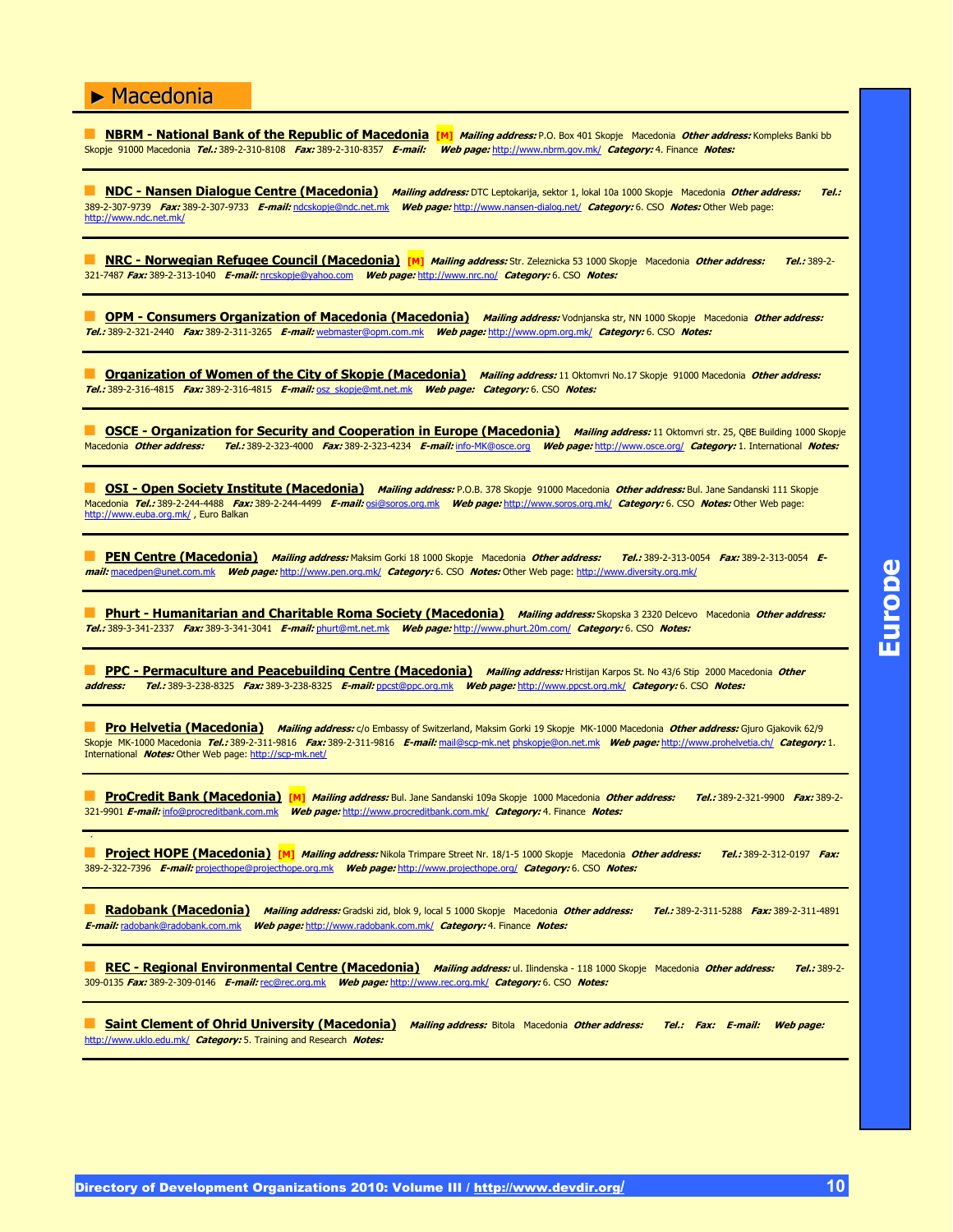**NBRM - National Bank of the Republic of Macedonia [M]** *Mailing address:* P.O. Box 401 Skopje Macedonia *Other address:* Kompleks Banki bb Skopje 91000 Macedonia **Tel.:** 389-2-310-8108 **Fax:** 389-2-310-8357 **E-mail: Web page:** http://www.nbrm.gov.mk/ **Category:** 4. Finance **Notes:**

" **NDC - Nansen Dialogue Centre (Macedonia) Mailing address:** DTC Leptokarija, sektor 1, lokal 10a 1000 Skopje Macedonia **Other address: Tel.:** 389-2-307-9739 **Fax:** 389-2-307-9733 **E-mail:** ndcskopje@ndc.net.mk **Web page:** http://www.nansen-dialog.net/ **Category:** 6. CSO **Notes:** Other Web page: http://www.ndc.net.mk/

" **NRC - Norwegian Refugee Council (Macedonia) [M] Mailing address:** Str. Zeleznicka 53 1000 Skopje Macedonia **Other address: Tel.:** 389-2- 321-7487 **Fax:** 389-2-313-1040 **E-mail:** nrcskopje@yahoo.com **Web page:** http://www.nrc.no/ **Category:** 6. CSO **Notes:**

" **OPM - Consumers Organization of Macedonia (Macedonia) Mailing address:** Vodnjanska str, NN 1000 Skopje Macedonia **Other address: Tel.:** 389-2-321-2440 **Fax:** 389-2-311-3265 **E-mail:** webmaster@opm.com.mk **Web page:** http://www.opm.org.mk/ **Category:** 6. CSO **Notes:**

**The Organization of Women of the City of Skopje (Macedonia)** Mailing address: 11 Oktomvri No.17 Skopje 91000 Macedonia Other address: **Tel.:** 389-2-316-4815 **Fax:** 389-2-316-4815 **E-mail:** osz\_skopje@mt.net.mk **Web page: Category:** 6. CSO **Notes:**

**D OSCE - Organization for Security and Cooperation in Europe (Macedonia) Mailing address:** 11 Oktomvri str. 25, QBE Building 1000 Skopje Macedonia **Other address: Tel.:** 389-2-323-4000 **Fax:** 389-2-323-4234 **E-mail:** info-MK@osce.org **Web page:** http://www.osce.org/ **Category:** 1. International **Notes:**

**OSI - Open Society Institute (Macedonia)** Mailing address: P.O.B. 378 Skopje 91000 Macedonia Other address: Bul. Jane Sandanski 111 Skopje Macedonia **Tel.:** 389-2-244-4488 **Fax:** 389-2-244-4499 **E-mail:** osi@soros.org.mk **Web page:** http://www.soros.org.mk/ **Category:** 6. CSO **Notes:** Other Web page: http://www.euba.org.mk/, Euro Balkan

**PEN Centre (Macedonia)** *Mailing address:* **Maksim Gorki 18 1000 Skopje Macedonia Other address: Tel.: 389-2-313-0054 <b>Fax:** 389-2-313-0054 **mail:** macedpen@unet.com.mk **Web page:** http://www.pen.org.mk/ **Category:** 6. CSO **Notes:** Other Web page: http://www.diversity.org.mk/

" **Phurt - Humanitarian and Charitable Roma Society (Macedonia) Mailing address:** Skopska 3 2320 Delcevo Macedonia **Other address: Tel.:** 389-3-341-2337 **Fax:** 389-3-341-3041 **E-mail:** phurt@mt.net.mk **Web page:** http://www.phurt.20m.com/ **Category:** 6. CSO **Notes:**

**PPC - Permaculture and Peacebuilding Centre (Macedonia)** *Mailing address:* **Hristijan Karpos St. No 43/6 Stip 2000 Macedonia** *Other* **<b>address:** *Tel.:* **389-3-238-8325** *Fax:* **389-3-238-8325** *F-mail:* **ppcst@ppc.org.mk Web address: Tel.:** 389-3-238-8325 **Fax:** 389-3-238-8325 **E-mail:** ppcst@ppc.org.mk **Web page:** http://www.ppcst.org.mk/ **Category:** 6. CSO **Notes:**

**Pro Helvetia (Macedonia) Mailing address:** c/o Embassy of Switzerland, Maksim Gorki 19 Skopje MK-1000 Macedonia Other address: Gjuro Gjakovik 62/9 Skopje MK-1000 Macedonia **Tel.:** 389-2-311-9816 **Fax:** 389-2-311-9816 **E-mail:** mail@scp-mk.net phskopje@on.net.mk **Web page:** http://www.prohelvetia.ch/ **Category:** 1. International **Notes:** Other Web page: http://scp-mk.net/

" **ProCredit Bank (Macedonia) [M] Mailing address:** Bul. Jane Sandanski 109a Skopje 1000 Macedonia **Other address: Tel.:** 389-2-321-9900 **Fax:** 389-2- 321-9901 **E-mail:** info@procreditbank.com.mk **Web page:** http://www.procreditbank.com.mk/ **Category:** 4. Finance **Notes:**

" **Project HOPE (Macedonia) [M] Mailing address:** Nikola Trimpare Street Nr. 18/1-5 1000 Skopje Macedonia **Other address: Tel.:** 389-2-312-0197 **Fax:** 389-2-322-7396 **E-mail:** projecthope@projecthope.org.mk **Web page:** http://www.projecthope.org/ **Category:** 6. CSO **Notes:**

" **Radobank (Macedonia) Mailing address:** Gradski zid, blok 9, local 5 1000 Skopje Macedonia **Other address: Tel.:** 389-2-311-5288 **Fax:** 389-2-311-4891 **E-mail:** radobank@radobank.com.mk **Web page:** http://www.radobank.com.mk/ **Category:** 4. Finance **Notes:**

REC - Regional Environmental Centre (Macedonia) Mailing address: ul. Ilindenska - 118 1000 Skopje Macedonia Other address: Tel.: 389-2-309-0135 **Fax:** 389-2-309-0146 **E-mail:** rec@rec.org.mk **Web page:** http://www.rec.org.mk/ **Category:** 6. CSO **Notes:**

" **Saint Clement of Ohrid University (Macedonia) Mailing address:** Bitola Macedonia **Other address: Tel.: Fax: E-mail: Web page:** http://www.uklo.edu.mk/ **Category:** 5. Training and Research **Notes:**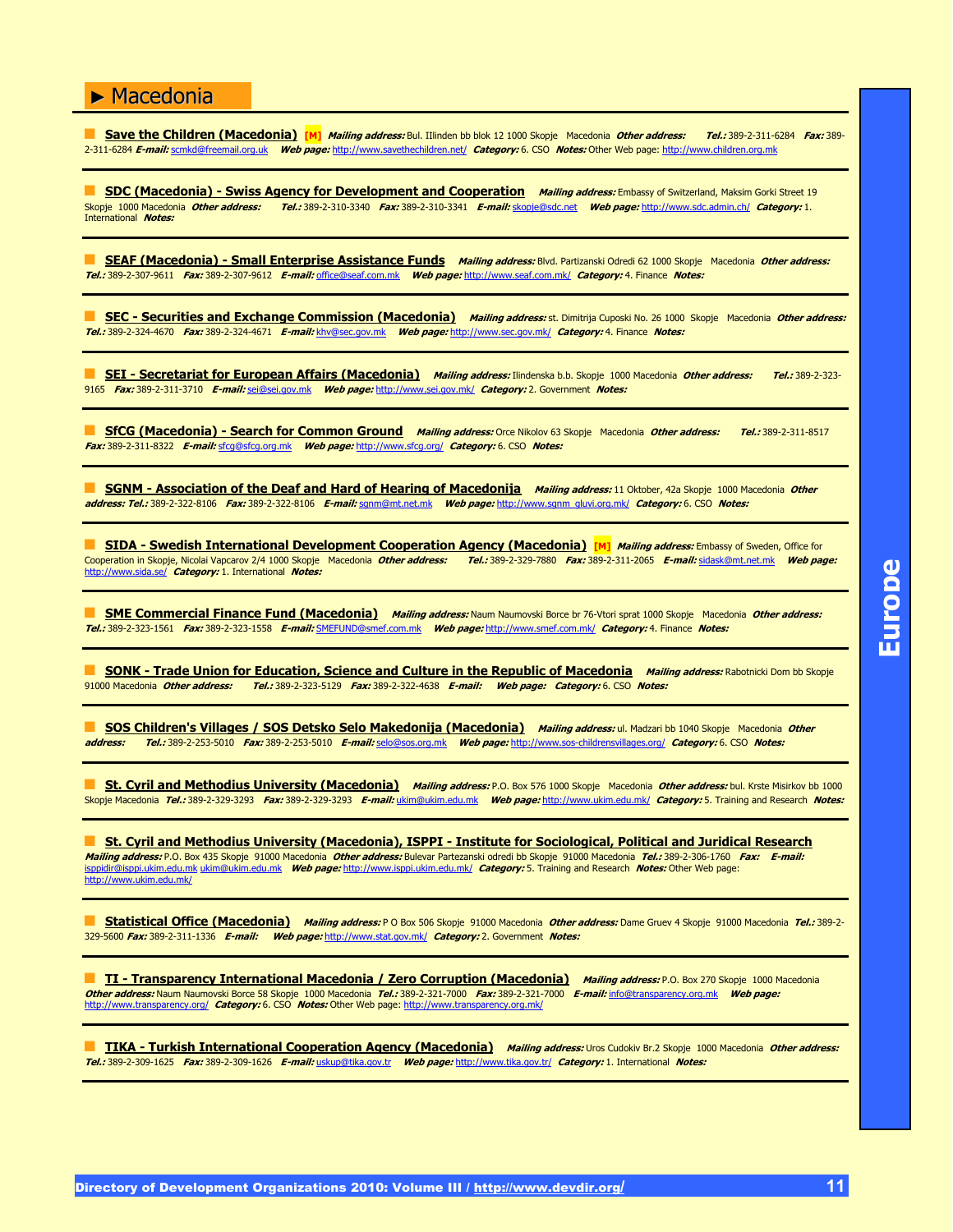**Save the Children (Macedonia)** [M] *Mailing address:* Bul. IIlinden bb blok 12 1000 Skopje Macedonia *Other address:* Tel.: 389-2-311-6284 Fax: 389-2-311-6284 **E-mail:** scmkd@freemail.org.uk **Web page:** http://www.savethechildren.net/ **Category:** 6. CSO **Notes:** Other Web page: http://www.children.org.mk

**SDC (Macedonia) - Swiss Agency for Development and Cooperation** *Mailing address:* **Embassy of Switzerland, Maksim Gorki Street 19<br>Skopje 1000 Macedonia** *Other address: Tel.:* **389-2-310-3340 Fax: 389-2-310-3341 F-mail: skop** Skopje 1000 Macedonia **Other address: Tel.:** 389-2-310-3340 **Fax:** 389-2-310-3341 **E-mail:** skopje@sdc.net **Web page:** http://www.sdc.admin.ch/ **Category:** 1. International **Notes:**

" **SEAF (Macedonia) - Small Enterprise Assistance Funds Mailing address:** Blvd. Partizanski Odredi 62 1000 Skopje Macedonia **Other address: Tel.:** 389-2-307-9611 **Fax:** 389-2-307-9612 **E-mail:** office@seaf.com.mk **Web page:** http://www.seaf.com.mk/ **Category:** 4. Finance **Notes:**

**EC - Securities and Exchange Commission (Macedonia)** Mailing address: st. Dimitrija Cuposki No. 26 1000 Skopje Macedonia Other address: **Tel.:** 389-2-324-4670 **Fax:** 389-2-324-4671 **E-mail:** khv@sec.gov.mk **Web page:** http://www.sec.gov.mk/ **Category:** 4. Finance **Notes:**

**SEI - Secretariat for European Affairs (Macedonia)** Mailing address: Ilindenska b.b. Skopje 1000 Macedonia Other address: Tel.: 389-2-323-9165 **Fax:** 389-2-311-3710 **E-mail:** sei@sei.gov.mk **Web page:** http://www.sei.gov.mk/ **Category:** 2. Government **Notes:**

**SfCG (Macedonia) - Search for Common Ground Mailing address:** Orce Nikolov 63 Skopje Macedonia Other address: Tel.: 389-2-311-8517 **Fax:** 389-2-311-8322 **E-mail:** sfcg@sfcg.org.mk **Web page:** http://www.sfcg.org/ **Category:** 6. CSO **Notes:**

**E** SGNM - Association of the Deaf and Hard of Hearing of Macedonija *Mailing address:* 11 Oktober, 42a Skopje 1000 Macedonia Other **address: Tel.:** 389-2-322-8106 **Fax:** 389-2-322-8106 **E-mail:** sgnm@mt.net.mk **Web page:** http://www.sgnm\_gluvi.org.mk/ **Category:** 6. CSO **Notes:**

**SIDA - Swedish International Development Cooperation Agency (Macedonia) [M]** *Mailing address:* **Embassy of Sweden, Office for<br>Cooperation in Skopje, Nicolai Vapcarov 2/4 1000 Skopje, Macedonia** *Other address: Tel.:* **389-2-**Cooperation in Skopje, Nicolai Vapcarov 2/4 1000 Skopje Macedonia **Other address: Tel.:** 389-2-329-7880 **Fax:** 389-2-311-2065 **E-mail:** sidask@mt.net.mk **Web page:** http://www.sida.se/ **Category:** 1. International **Notes:**

" **SME Commercial Finance Fund (Macedonia) Mailing address:** Naum Naumovski Borce br 76-Vtori sprat 1000 Skopje Macedonia **Other address: Tel.:** 389-2-323-1561 **Fax:** 389-2-323-1558 **E-mail:** SMEFUND@smef.com.mk **Web page:** http://www.smef.com.mk/ **Category:** 4. Finance **Notes:**

**SONK - Trade Union for Education, Science and Culture in the Republic of Macedonia Mailing address: Rabotnicki Dom bb Skopje** 91000 Macedonia **Other address: Tel.:** 389-2-323-5129 **Fax:** 389-2-322-4638 **E-mail: Web page: Category:** 6. CSO **Notes:**

**E SOS Children's Villages / SOS Detsko Selo Makedonija (Macedonia)** *Mailing address:* **ul. Madzari bb 1040 Skopje Macedonia** *Other***<br>address: Tel.: 389-2-253-5010 Fax: 389-2-253-5010 F-mail: selo@sos.org.mk Web page: http:/ address: Tel.:** 389-2-253-5010 **Fax:** 389-2-253-5010 **E-mail:** selo@sos.org.mk **Web page:** http://www.sos-childrensvillages.org/ **Category:** 6. CSO **Notes:**

**St. Cyril and Methodius University (Macedonia) Mailing address:** P.O. Box 576 1000 Skopje Macedonia Other address: bul. Krste Misirkov bb 1000 Skopje Macedonia **Tel.:** 389-2-329-3293 **Fax:** 389-2-329-3293 **E-mail:** ukim@ukim.edu.mk **Web page:** http://www.ukim.edu.mk/ **Category:** 5. Training and Research **Notes:**

**St. Cyril and Methodius University (Macedonia), ISPPI - Institute for Sociological, Political and Juridical Research Mailing address:** P.O. Box 435 Skopje 91000 Macedonia **Other address:** Bulevar Partezanski odredi bb Skopje 91000 Macedonia **Tel.:** 389-2-306-1760 **Fax: E-mail:** isppidir@isppi.ukim.edu.mk ukim@ukim.edu.mk **Web page:** http://www.isppi.ukim.edu.mk/ **Category:** 5. Training and Research **Notes:** Other Web page: http://www.ukim.edu.mk/

" **Statistical Office (Macedonia) Mailing address:** P O Box 506 Skopje 91000 Macedonia **Other address:** Dame Gruev 4 Skopje 91000 Macedonia **Tel.:** 389-2- 329-5600 **Fax:** 389-2-311-1336 **E-mail: Web page:** http://www.stat.gov.mk/ **Category:** 2. Government **Notes:**

" **TI - Transparency International Macedonia / Zero Corruption (Macedonia) Mailing address:** P.O. Box 270 Skopje 1000 Macedonia **Other address: N**aum Naumovski Borce 58 Skopje 1000 Macedonia *Tel.:* 389-2-321-7000 *Fax:* 389-2-321-7000 *E-mail:* i<u>nfo@transparency.org.mk</u> Web page:<br>http://www.transparency.org/ *Category:* 6. CSO *Notes:* Other Web

" **TIKA - Turkish International Cooperation Agency (Macedonia) Mailing address:** Uros Cudokiv Br.2 Skopje 1000 Macedonia **Other address: Tel.:** 389-2-309-1625 **Fax:** 389-2-309-1626 **E-mail:** uskup@tika.gov.tr **Web page:** http://www.tika.gov.tr/ **Category:** 1. International **Notes:**